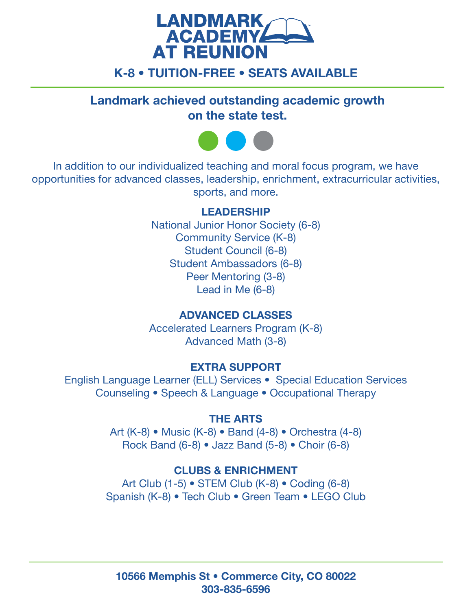

# K-8 • TUITION-FREE • SEATS AVAILABLE

Landmark achieved outstanding academic growth on the state test.



In addition to our individualized teaching and moral focus program, we have opportunities for advanced classes, leadership, enrichment, extracurricular activities, sports, and more.

### LEADERSHIP

National Junior Honor Society (6-8) Community Service (K-8) Student Council (6-8) Student Ambassadors (6-8) Peer Mentoring (3-8) Lead in Me (6-8)

### ADVANCED CLASSES

Accelerated Learners Program (K-8) Advanced Math (3-8)

### EXTRA SUPPORT

English Language Learner (ELL) Services • Special Education Services Counseling • Speech & Language • Occupational Therapy

### THE ARTS

Art (K-8) • Music (K-8) • Band (4-8) • Orchestra (4-8) Rock Band (6-8) • Jazz Band (5-8) • Choir (6-8)

### CLUBS & ENRICHMENT

Art Club (1-5) • STEM Club (K-8) • Coding (6-8) Spanish (K-8) • Tech Club • Green Team • LEGO Club

10566 Memphis St • Commerce City, CO 80022 303-835-6596